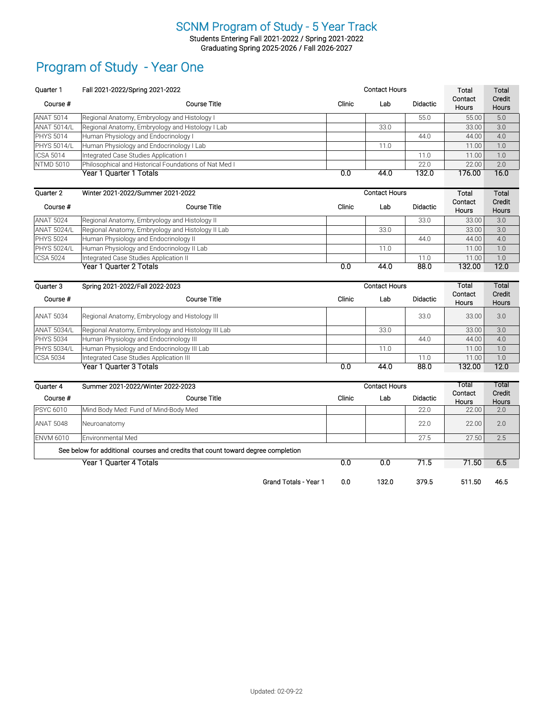Students Entering Fall 2021-2022 / Spring 2021-2022 Graduating Spring 2025-2026 / Fall 2026-2027

### Program of Study - Year One

| Quarter 1          | Fall 2021-2022/Spring 2021-2022                                                  |        | <b>Contact Hours</b> |                 |                  | Total           |
|--------------------|----------------------------------------------------------------------------------|--------|----------------------|-----------------|------------------|-----------------|
| Course #           | <b>Course Title</b>                                                              | Clinic | Lab                  | Didactic        | Contact<br>Hours | Credit<br>Hours |
| <b>ANAT 5014</b>   | Regional Anatomy, Embryology and Histology I                                     |        |                      | 55.0            | 55.00            | 5.0             |
| <b>ANAT 5014/L</b> | Regional Anatomy, Embryology and Histology I Lab                                 |        | 33.0                 |                 | 33.00            | 3.0             |
| <b>PHYS 5014</b>   | Human Physiology and Endocrinology I                                             |        |                      | 44.0            | 44.00            | 4.0             |
| <b>PHYS 5014/L</b> | Human Physiology and Endocrinology I Lab                                         |        | 11.0                 |                 | 11.00            | 1.0             |
| <b>ICSA 5014</b>   | Integrated Case Studies Application I                                            |        |                      | 11.0            | 11.00            | 1.0             |
| <b>NTMD 5010</b>   | Philosophical and Historical Foundations of Nat Med I                            |        |                      | 22.0            | 22.00            | 2.0             |
|                    | Year 1 Quarter 1 Totals                                                          | 0.0    | 44.0                 | 132.0           | 176.00           | 16.0            |
| Quarter 2          | Winter 2021-2022/Summer 2021-2022                                                |        | <b>Contact Hours</b> |                 | Total            | Total           |
| Course #           | <b>Course Title</b>                                                              | Clinic | Lab                  | <b>Didactic</b> | Contact<br>Hours | Credit<br>Hours |
| <b>ANAT 5024</b>   | Regional Anatomy, Embryology and Histology II                                    |        |                      | 33.0            | 33.00            | 3.0             |
| <b>ANAT 5024/L</b> | Regional Anatomy, Embryology and Histology II Lab                                |        | 33.0                 |                 | 33.00            | 3.0             |
| <b>PHYS 5024</b>   | Human Physiology and Endocrinology II                                            |        |                      | 44.0            | 44.00            | 4.0             |
| <b>PHYS 5024/L</b> | Human Physiology and Endocrinology II Lab                                        |        | 11.0                 |                 | 11.00            | 1.0             |
| <b>ICSA 5024</b>   | Integrated Case Studies Application II                                           |        |                      | 11.0            | 11.00            | 1.0             |
|                    | Year 1 Quarter 2 Totals                                                          | 0.0    | 44.0                 | 88.0            | 132.00           | 12.0            |
|                    |                                                                                  |        |                      |                 |                  |                 |
| Quarter 3          | Spring 2021-2022/Fall 2022-2023                                                  |        | <b>Contact Hours</b> |                 | Total            | Total           |
| Course #           | <b>Course Title</b>                                                              | Clinic | Lab                  | <b>Didactic</b> | Contact<br>Hours | Credit<br>Hours |
| <b>ANAT 5034</b>   | Regional Anatomy, Embryology and Histology III                                   |        |                      | 33.0            | 33.00            | 3.0             |
| <b>ANAT 5034/L</b> | Regional Anatomy, Embryology and Histology III Lab                               |        | 33.0                 |                 | 33.00            | 3.0             |
| <b>PHYS 5034</b>   | Human Physiology and Endocrinology III                                           |        |                      | 44.0            | 44.00            | 4.0             |
| <b>PHYS 5034/L</b> | Human Physiology and Endocrinology III Lab                                       |        | 11.0                 |                 | 11.00            | 1.0             |
| <b>ICSA 5034</b>   | Integrated Case Studies Application III                                          |        |                      | 11.0            | 11.00            | 1.0             |
|                    | <b>Year 1 Quarter 3 Totals</b>                                                   | 0.0    | 44.0                 | 88.0            | 132.00           | 12.0            |
| Quarter 4          | Summer 2021-2022/Winter 2022-2023                                                |        | <b>Contact Hours</b> |                 | Total            | Total           |
| Course #           | <b>Course Title</b>                                                              | Clinic | Lab                  | <b>Didactic</b> | Contact          | Credit          |
| <b>PSYC 6010</b>   | Mind Body Med: Fund of Mind-Body Med                                             |        |                      | 22.0            | Hours<br>22.00   | Hours<br>2.0    |
| <b>ANAT 5048</b>   | Neuroanatomy                                                                     |        |                      | 22.0            | 22.00            | 2.0             |
| <b>ENVM 6010</b>   | Environmental Med                                                                |        |                      | 27.5            | 27.50            | 2.5             |
|                    | See below for additional courses and credits that count toward degree completion |        |                      |                 |                  |                 |

Grand Totals - Year 1 0.0 132.0 379.5 511.50 46.5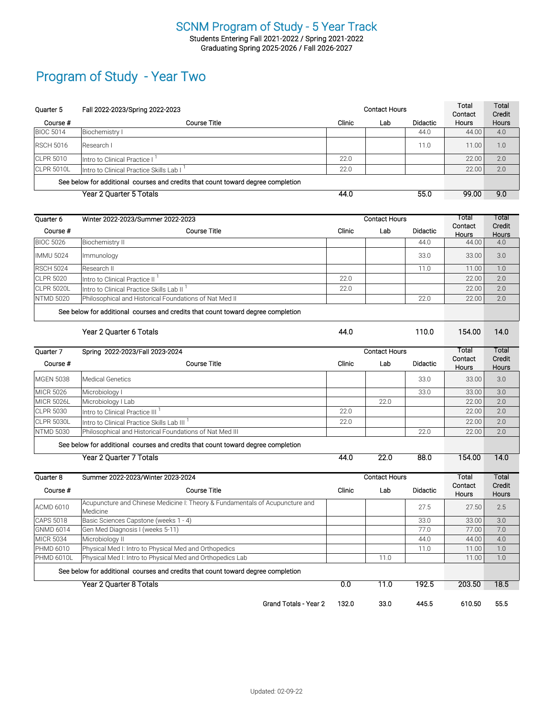#### SCNM Program of Study - 5 Year Track Students Entering Fall 2021-2022 / Spring 2021-2022 Graduating Spring 2025-2026 / Fall 2026-2027

### Program of Study - Year Two

| Quarter 5         | Fall 2022-2023/Spring 2022-2023                                                          |        | <b>Contact Hours</b> |                 | Total<br>Contact | Total<br>Credit |
|-------------------|------------------------------------------------------------------------------------------|--------|----------------------|-----------------|------------------|-----------------|
| Course #          | <b>Course Title</b>                                                                      | Clinic | Lab                  | <b>Didactic</b> | Hours            | Hours           |
| <b>BIOC 5014</b>  | Biochemistry I                                                                           |        |                      | 44.0            | 44.00            | 4.0             |
| <b>RSCH 5016</b>  | Research I                                                                               |        |                      | 11.0            | 11.00            | 1.0             |
| <b>CLPR 5010</b>  | Intro to Clinical Practice I                                                             | 22.0   |                      |                 | 22.00            | 2.0             |
| <b>CLPR 5010L</b> | Intro to Clinical Practice Skills Lab I <sup>1</sup>                                     | 22.0   |                      |                 | 22.00            | 2.0             |
|                   | See below for additional courses and credits that count toward degree completion         |        |                      |                 |                  |                 |
|                   | <b>Year 2 Quarter 5 Totals</b>                                                           | 44.0   |                      | 55.0            | 99.00            | 9.0             |
|                   |                                                                                          |        |                      |                 |                  |                 |
| Quarter 6         | Winter 2022-2023/Summer 2022-2023                                                        |        | <b>Contact Hours</b> |                 |                  | Total           |
| Course #          | <b>Course Title</b>                                                                      | Clinic | Lab                  | <b>Didactic</b> | Contact<br>Hours | Credit<br>Hours |
| <b>BIOC 5026</b>  | <b>Biochemistry II</b>                                                                   |        |                      | 44.0            | 44.00            | 4.0             |
| <b>IMMU 5024</b>  | Immunology                                                                               |        |                      | 33.0            | 33.00            | 3.0             |
| <b>RSCH 5024</b>  | Research II                                                                              |        |                      | 11.0            | 11.00            | 1.0             |
| <b>CLPR 5020</b>  | Intro to Clinical Practice II <sup>1</sup>                                               | 22.0   |                      |                 | 22.00            | 2.0             |
| <b>CLPR 5020L</b> | Intro to Clinical Practice Skills Lab II <sup>1</sup>                                    | 22.0   |                      |                 | 22.00            | 2.0             |
| <b>NTMD 5020</b>  | Philosophical and Historical Foundations of Nat Med II                                   |        |                      | 22.0            | 22.00            | 2.0             |
|                   | See below for additional courses and credits that count toward degree completion         |        |                      |                 |                  |                 |
|                   |                                                                                          | 44.0   |                      | 110.0           | 154.00           | 14.0            |
|                   | Year 2 Quarter 6 Totals                                                                  |        |                      |                 |                  |                 |
| Quarter 7         | Spring 2022-2023/Fall 2023-2024                                                          |        | <b>Contact Hours</b> |                 | Total            | Total           |
| Course #          | <b>Course Title</b>                                                                      | Clinic | Lab                  | <b>Didactic</b> | Contact<br>Hours | Credit<br>Hours |
| <b>MGEN 5038</b>  | <b>Medical Genetics</b>                                                                  |        |                      | 33.0            | 33.00            | 3.0             |
| <b>MICR 5026</b>  | Microbiology I                                                                           |        |                      | 33.0            | 33.00            | 3.0             |
| <b>MICR 5026L</b> | Microbiology I Lab                                                                       |        | 22.0                 |                 | 22.00            | 2.0             |
| <b>CLPR 5030</b>  | Intro to Clinical Practice III <sup>1</sup>                                              | 22.0   |                      |                 | 22.00            | 2.0             |
| <b>CLPR 5030L</b> | Intro to Clinical Practice Skills Lab III                                                | 22.0   |                      |                 | 22.00            | 2.0             |
| <b>NTMD 5030</b>  | Philosophical and Historical Foundations of Nat Med III                                  |        |                      | 22.0            | 22.00            | 2.0             |
|                   | See below for additional courses and credits that count toward degree completion         |        |                      |                 |                  |                 |
|                   | Year 2 Quarter 7 Totals                                                                  | 44.0   | 22.0                 | 88.0            | 154.00           | 14.0            |
| Quarter 8         | Summer 2022-2023/Winter 2023-2024                                                        |        | <b>Contact Hours</b> |                 | Total            | Total           |
| Course #          | <b>Course Title</b>                                                                      | Clinic | Lab                  | Didactic        | Contact          | Credit          |
|                   |                                                                                          |        |                      |                 | Hours            | Hours           |
| <b>ACMD 6010</b>  | Acupuncture and Chinese Medicine I: Theory & Fundamentals of Acupuncture and<br>Medicine |        |                      | 27.5            | 27.50            | 2.5             |
| <b>CAPS 5018</b>  | Basic Sciences Capstone (weeks 1 - 4)                                                    |        |                      | 33.0            | 33.00            | 3.0             |
| <b>GNMD 6014</b>  | Gen Med Diagnosis I (weeks 5-11)                                                         |        |                      | 77.0            | 77.00            | 7.0             |
| <b>MICR 5034</b>  | Microbiology II                                                                          |        |                      | 44.0            | 44.00            | 4.0             |
| PHMD 6010         | Physical Med I: Intro to Physical Med and Orthopedics                                    |        |                      | 11.0            | 11.00            | 1.0             |
| <b>PHMD 6010L</b> | Physical Med I: Intro to Physical Med and Orthopedics Lab                                |        | 11.0                 |                 | 11.00            | 1.0             |
|                   | See below for additional courses and credits that count toward degree completion         |        |                      |                 |                  |                 |
|                   | Year 2 Quarter 8 Totals                                                                  | 0.0    | 11.0                 | 192.5           | 203.50           | 18.5            |
|                   | <b>Grand Totals - Year 2</b>                                                             | 132.0  | 33.0                 | 445.5           | 610.50           | 55.5            |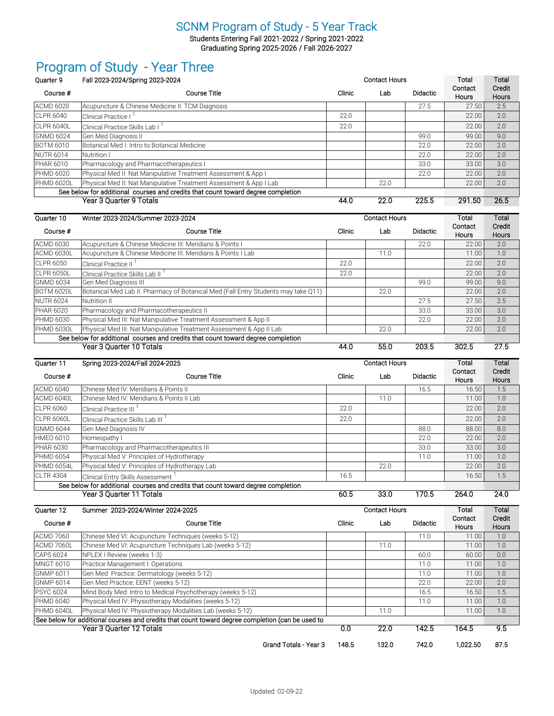Students Entering Fall 2021-2022 / Spring 2021-2022 Graduating Spring 2025-2026 / Fall 2026-2027

## Program of Study - Year Three

| Ouarter <sub>9</sub> | Fall 2023-2024/Spring 2023-2024                                                  |        | <b>Contact Hours</b> |                 | Total                   | Total                  |
|----------------------|----------------------------------------------------------------------------------|--------|----------------------|-----------------|-------------------------|------------------------|
| Course #             | <b>Course Title</b>                                                              | Clinic | Lab                  | <b>Didactic</b> | Contact<br><b>Hours</b> | Credit<br><b>Hours</b> |
| <b>ACMD 6020</b>     | Acupuncture & Chinese Medicine II: TCM Diagnosis                                 |        |                      | 27.5            | 27.50                   | 2.5                    |
| <b>ICLPR 6040</b>    | <b>Clinical Practice I</b>                                                       | 22.0   |                      |                 | 22.00                   | 2.0                    |
| CLPR 6040L           | Clinical Practice Skills Lab I                                                   | 22.0   |                      |                 | 22.00                   | 2.0                    |
| <b>GNMD 6024</b>     | Gen Med Diagnosis II                                                             |        |                      | 99.0            | 99.00                   | 9.0                    |
| <b>BOTM 6010</b>     | Botanical Med I: Intro to Botanical Medicine                                     |        |                      | 22.0            | 22.00                   | 2.0                    |
| <b>NUTR 6014</b>     | Nutrition I                                                                      |        |                      | 22.0            | 22.00                   | 2.0                    |
| <b>PHAR 6010</b>     | Pharmacology and Pharmacotherapeutics I                                          |        |                      | 33.0            | 33.00                   | 3.0                    |
| <b>PHMD 6020</b>     | Physical Med II: Nat Manipulative Treatment Assessment & App I                   |        |                      | 22.0            | 22.00                   | 2.0                    |
| <b>PHMD 6020L</b>    | Physical Med II: Nat Manipulative Treatment Assessment & App I Lab               |        | 22.0                 |                 | 22.00                   | 2.0                    |
|                      | See below for additional courses and credits that count toward degree completion |        |                      |                 |                         |                        |
|                      | Year 3 Quarter 9 Totals                                                          | 44.0   | 22.0                 | 225.5           | 291.50                  | 26.5                   |

| Ouarter 10                                                                       | Winter 2023-2024/Summer 2023-2024                                                  |        | <b>Contact Hours</b> |                 | Total                   | Total                  |
|----------------------------------------------------------------------------------|------------------------------------------------------------------------------------|--------|----------------------|-----------------|-------------------------|------------------------|
| Course #                                                                         | <b>Course Title</b>                                                                | Clinic | Lab                  | <b>Didactic</b> | Contact<br><b>Hours</b> | Credit<br><b>Hours</b> |
| <b>ACMD 6030</b>                                                                 | Acupuncture & Chinese Medicine III: Meridians & Points I                           |        |                      | 22.0            | 22.00                   | 2.0                    |
| ACMD 6030L                                                                       | Acupuncture & Chinese Medicine III: Meridians & Points I Lab                       |        | 11.0                 |                 | 11.00                   | 1.0                    |
| <b>ICLPR 6050</b>                                                                | <b>Clinical Practice II</b>                                                        | 22.0   |                      |                 | 22.00                   | 2.0                    |
| ICLPR 6050L                                                                      | Clinical Practice Skills Lab II                                                    | 22.0   |                      |                 | 22.00                   | 2.0                    |
| <b>GNMD 6034</b>                                                                 | Gen Med Diagnosis III                                                              |        |                      | 99.0            | 99.00                   | 9.0                    |
| BOTM 6020L                                                                       | Botanical Med Lab II: Pharmacy of Botanical Med (Fall Entry Students may take Q11) |        | 22.0                 |                 | 22.00                   | 2.0                    |
| <b>NUTR 6024</b>                                                                 | Nutrition II                                                                       |        |                      | 27.5            | 27.50                   | 2.5                    |
| <b>PHAR 6020</b>                                                                 | Pharmacology and Pharmacotherapeutics II                                           |        |                      | 33.0            | 33.00                   | 3.0                    |
| <b>PHMD 6030</b>                                                                 | Physical Med III: Nat Manipulative Treatment Assessment & App II                   |        |                      | 22.0            | 22.00                   | 2.0                    |
| PHMD 6030L                                                                       | Physical Med III: Nat Manipulative Treatment Assessment & App II Lab               |        | 22.0                 |                 | 22.00                   | 2.0                    |
| See below for additional courses and credits that count toward degree completion |                                                                                    |        |                      |                 |                         |                        |
|                                                                                  | Year 3 Quarter 10 Totals                                                           | 44.0   | 55.0                 | 203.5           | 302.5                   | 27.5                   |

| Ouarter 11        | Spring 2023-2024/Fall 2024-2025                                                  |        | <b>Contact Hours</b> | Total           | Total                   |                        |
|-------------------|----------------------------------------------------------------------------------|--------|----------------------|-----------------|-------------------------|------------------------|
| Course #          | Course Title                                                                     | Clinic | Lab                  | <b>Didactic</b> | Contact<br><b>Hours</b> | Credit<br><b>Hours</b> |
| <b>ACMD 6040</b>  | Chinese Med IV: Meridians & Points II                                            |        |                      | 16.5            | 16.50                   | 1.5                    |
| ACMD 6040L        | Chinese Med IV: Meridians & Points II Lab                                        |        | 11.0                 |                 | 11.00                   | 1.0                    |
| <b>ICLPR 6060</b> | Clinical Practice III                                                            | 22.0   |                      |                 | 22.00                   | 2.0                    |
| CLPR 6060L        | Clinical Practice Skills Lab III                                                 | 22.0   |                      |                 | 22.00                   | 2.0                    |
| GNMD 6044         | Gen Med Diagnosis IV                                                             |        |                      | 88.0            | 88.00                   | 8.0                    |
| <b>HMEO 6010</b>  | Homeopathy I                                                                     |        |                      | 22.0            | 22.00                   | 2.0                    |
| <b>PHAR 6030</b>  | Pharmacology and Pharmacotherapeutics III                                        |        |                      | 33.0            | 33.00                   | 3.0                    |
| <b>PHMD 6054</b>  | Physical Med V: Principles of Hydrotherapy                                       |        |                      | 11.0            | 11.00                   | 1.0                    |
| <b>PHMD 6054L</b> | Physical Med V: Principles of Hydrotherapy Lab                                   |        | 22.0                 |                 | 22.00                   | 2.0                    |
| <b>CLTR 4304</b>  | Clinical Entry Skills Assessment                                                 | 16.5   |                      |                 | 16.50                   | 1.5                    |
|                   | See below for additional courses and credits that count toward degree completion |        |                      |                 |                         |                        |
|                   | Year 3 Quarter 11 Totals                                                         | 60.5   | 33.0                 | 170.5           | 264.0                   | 24.0                   |

Quarter 12 Summer 2023-2024/Winter 2024-2025 Course # Course Title Clinic Lab Didactic ACMD 7060 Chinese Med VI: Acupuncture Techniques (weeks 5-12) 11.0 | 11.0 | 11.00 | 1.0 ACMD 7060L Chinese Med VI: Acupuncture Techniques Lab (weeks 5-12) 11.0 11.0 11.0 11.00 1.0 CAPS 6024 NPLEX I Review (weeks 1-3)<br>
MNGT 6010 Practice Management I: Operations (1.000 0.000 0.000 0.000 0.000 0.000 0.000 0.000 0.000 0.000 0.00<br>
MNGT 6010 Practice Management I: Operations MNGT 6010 Practice Management I: Operations 11.0 11.0 11.0 11.00 1.0 GNMP 6011 Gen Med Practice: Dermatology (weeks 5-12) 11.0 11.0 11.00 1.0 GNMP 6014 Gen Med Practice: EENT (weeks 5-12) 22.0 2.0 22.00 2.0 PSYC 6024 Mind Body Med: Intro to Medical Psychotherapy (weeks 5-12) 16.5 16.50 16.50 1.5 PHMD 6040 Physical Med IV: Physiotherapy Modalities (weeks 5-12) 11.0 11.00 1.0 PHMD 6040L Physical Med IV: Physiotherapy Modalities Lab (weeks 5-12) 11.0 11.0 11.00 1.00 1.00 1.0 Year 3 Quarter 12 Totals 0.0 22.0 142.5 164.5 9.5 Grand Totals - Year 3 148.5 132.0 742.0 1,022.50 87.5 See below for additional courses and credits that count toward degree completion (can be used to **Total Contact** Hours **Total** Credit Hours Contact Hours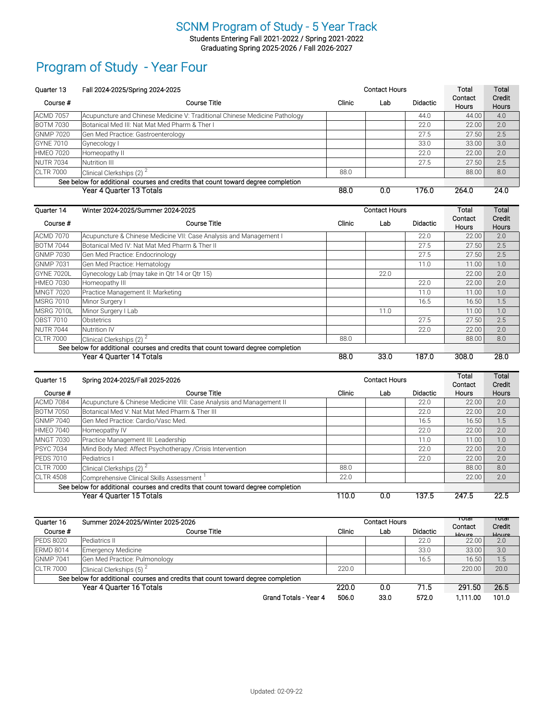Students Entering Fall 2021-2022 / Spring 2021-2022 Graduating Spring 2025-2026 / Fall 2026-2027

### Program of Study - Year Four

| Ouarter 13       | Fall 2024-2025/Spring 2024-2025                                                  | <b>Contact Hours</b> |     |                 | Total                   | Total           |
|------------------|----------------------------------------------------------------------------------|----------------------|-----|-----------------|-------------------------|-----------------|
| Course #         | Course Title                                                                     | Clinic               | Lab | <b>Didactic</b> | Contact<br><b>Hours</b> | Credit<br>Hours |
| <b>ACMD 7057</b> | Acupuncture and Chinese Medicine V: Traditional Chinese Medicine Pathology       |                      |     | 44.0            | 44.00                   | 4.0             |
| <b>BOTM 7030</b> | Botanical Med III: Nat Mat Med Pharm & Ther I                                    |                      |     | 22.0            | 22.00                   | 2.0             |
| <b>GNMP 7020</b> | Gen Med Practice: Gastroenterology                                               |                      |     | 27.5            | 27.50                   | 2.5             |
| <b>GYNE 7010</b> | Gynecology I                                                                     |                      |     | 33.0            | 33.00                   | 3.0             |
| <b>HMEO 7020</b> | Homeopathy II                                                                    |                      |     | 22.0            | 22.00                   | 2.0             |
| <b>NUTR 7034</b> | Nutrition III                                                                    |                      |     | 27.5            | 27.50                   | 2.5             |
| <b>CLTR 7000</b> | Clinical Clerkships (2) $2^2$                                                    | 88.0                 |     |                 | 88.00                   | 8.0             |
|                  | See below for additional courses and credits that count toward degree completion |                      |     |                 |                         |                 |
|                  | Year 4 Quarter 13 Totals                                                         | 88.0                 | 0.0 | 176.0           | 264.0                   | 24.0            |

| Quarter 14         | Winter 2024-2025/Summer 2024-2025                                                |        | <b>Contact Hours</b> |                 | Total                   | Total                  |
|--------------------|----------------------------------------------------------------------------------|--------|----------------------|-----------------|-------------------------|------------------------|
| Course #           | Course Title                                                                     | Clinic | Lab                  | <b>Didactic</b> | Contact<br><b>Hours</b> | Credit<br><b>Hours</b> |
| <b>ACMD 7070</b>   | Acupuncture & Chinese Medicine VII: Case Analysis and Management I               |        |                      | 22.0            | 22.00                   | 2.0                    |
| <b>BOTM 7044</b>   | Botanical Med IV: Nat Mat Med Pharm & Ther II                                    |        |                      | 27.5            | 27.50                   | 2.5                    |
| <b>GNMP 7030</b>   | Gen Med Practice: Endocrinology                                                  |        |                      | 27.5            | 27.50                   | 2.5                    |
| IGNMP 7031         | Gen Med Practice: Hematology                                                     |        |                      | 11.0            | 11.00                   | 1.0                    |
| IGYNE 7020L        | Gynecology Lab (may take in Qtr 14 or Qtr 15)                                    |        | 22.0                 |                 | 22.00                   | 2.0                    |
| <b>HMEO 7030</b>   | Homeopathy III                                                                   |        |                      | 22.0            | 22.00                   | 2.0                    |
| MNGT 7020          | Practice Management II: Marketing                                                |        |                      | 11.0            | 11.00                   | 1.0                    |
| MSRG 7010          | Minor Surgery I                                                                  |        |                      | 16.5            | 16.50                   | 1.5                    |
| <b>IMSRG 7010L</b> | Minor Surgery I Lab                                                              |        | 11.0                 |                 | 11.00                   | 1.0                    |
| lOBST 7010         | Obstetrics                                                                       |        |                      | 27.5            | 27.50                   | 2.5                    |
| NUTR 7044          | <b>Nutrition IV</b>                                                              |        |                      | 22.0            | 22.00                   | 2.0                    |
| <b>ICLTR 7000</b>  | Clinical Clerkships (2) <sup>2</sup>                                             | 88.0   |                      |                 | 88.00                   | 8.0                    |
|                    | See below for additional courses and credits that count toward degree completion |        |                      |                 |                         |                        |
|                    | Year 4 Quarter 14 Totals                                                         | 88.0   | 33.0                 | 187.0           | 308.0                   | 28.0                   |

| Quarter 15        | Spring 2024-2025/Fall 2025-2026                                                  |        | <b>Contact Hours</b> | Total    | Total   |              |
|-------------------|----------------------------------------------------------------------------------|--------|----------------------|----------|---------|--------------|
|                   |                                                                                  |        |                      |          | Contact | Credit       |
| Course #          | Course Title                                                                     | Clinic | Lab                  | Didactic | Hours   | <b>Hours</b> |
| <b>ACMD 7084</b>  | Acupuncture & Chinese Medicine VIII: Case Analysis and Management II             |        |                      | 22.0     | 22.00   | 2.0          |
| <b>BOTM 7050</b>  | Botanical Med V: Nat Mat Med Pharm & Ther III                                    |        |                      | 22.0     | 22.00   | 2.0          |
| <b>GNMP 7040</b>  | lGen Med Practice: Cardio/Vasc Med.                                              |        |                      | 16.5     | 16.50   | 1.5          |
| <b>HMEO 7040</b>  | Homeopathy IV                                                                    |        |                      | 22.0     | 22.00   | 2.0          |
| <b>MNGT 7030</b>  | Practice Management III: Leadership                                              |        |                      | 11.0     | 11.00   | 1.0          |
| <b>IPSYC 7034</b> | Mind Body Med: Affect Psychotherapy / Crisis Intervention                        |        |                      | 22.0     | 22.00   | 2.0          |
| <b>PEDS 7010</b>  | Pediatrics I                                                                     |        |                      | 22.0     | 22.00   | 2.0          |
| <b>CLTR 7000</b>  | Clinical Clerkships $(2)^2$                                                      | 88.0   |                      |          | 88.00   | 8.0          |
| <b>CLTR 4508</b>  | Comprehensive Clinical Skills Assessment                                         | 22.0   |                      |          | 22.00   | 2.0          |
|                   | See below for additional courses and credits that count toward degree completion |        |                      |          |         |              |
|                   | Year 4 Quarter 15 Totals                                                         | 110.0  | 0.0                  | 137.5    | 247.5   | 22.5         |

| Quarter 16       | Summer 2024-2025/Winter 2025-2026                                                | <b>Contact Hours</b> |      |                 | πυτατ<br>Contact | τυιαι<br>Credit |
|------------------|----------------------------------------------------------------------------------|----------------------|------|-----------------|------------------|-----------------|
| Course #         | Course Title                                                                     | Clinic               | Lab  | <b>Didactic</b> | Houre.           | Houre.          |
| <b>PEDS 8020</b> | Pediatrics II                                                                    |                      |      | 22.0            | 22.00            | 2.0             |
| <b>ERMD 8014</b> | Emergency Medicine                                                               |                      |      | 33.0            | 33.00            | 3.0             |
| <b>GNMP 7041</b> | Gen Med Practice: Pulmonology                                                    |                      |      | 16.5            | 16.50            | 1.5             |
| <b>CLTR 7000</b> | Clinical Clerkships $(5)$ <sup>2</sup>                                           | 220.0                |      |                 | 220.00           | 20.0            |
|                  | See below for additional courses and credits that count toward degree completion |                      |      |                 |                  |                 |
|                  | Year 4 Quarter 16 Totals                                                         | 220.0                | 0.0  | 71.5            | 291.50           | 26.5            |
|                  | Grand Totals - Year 4                                                            | 506.0                | 33.0 | 572.0           | 1.111.00         | 101.0           |